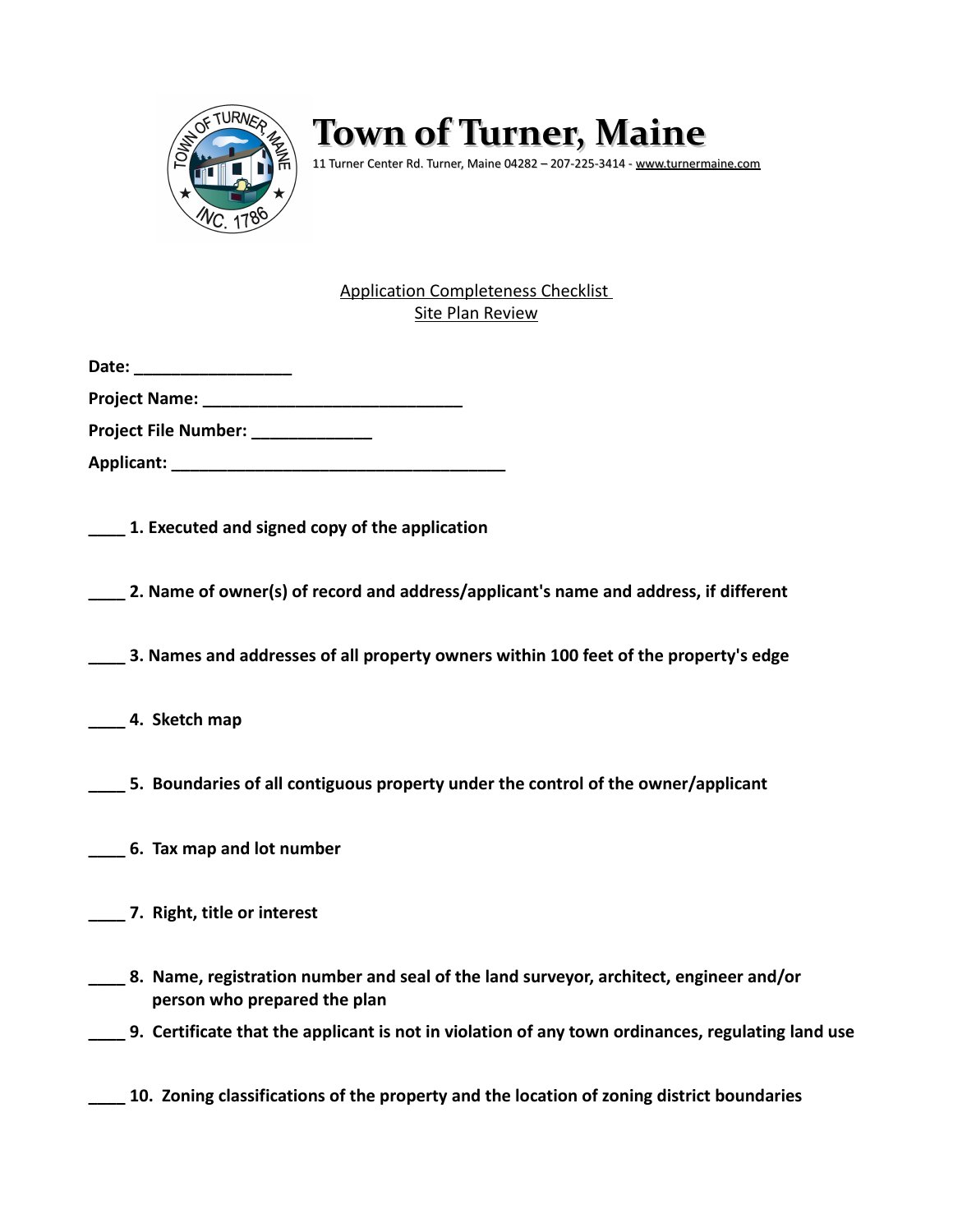

## **Town of Turner, Maine**

11 Turner Center Rd. Turner, Maine 04282 – 207-225-3414 - [www.turnermaine.com](http://www.turnermaine.com/)

## Application Completeness Checklist Site Plan Review

**Project Name: \_\_\_\_\_\_\_\_\_\_\_\_\_\_\_\_\_\_\_\_\_\_\_\_\_\_\_\_**

**Project File Number: \_\_\_\_\_\_\_\_\_\_\_\_\_**

**Applicant: \_\_\_\_\_\_\_\_\_\_\_\_\_\_\_\_\_\_\_\_\_\_\_\_\_\_\_\_\_\_\_\_\_\_\_\_**

**\_\_\_\_ 1. Executed and signed copy of the application**

**\_\_\_\_ 2. Name of owner(s) of record and address/applicant's name and address, if different**

**\_\_\_\_ 3. Names and addresses of all property owners within 100 feet of the property's edge**

**\_\_\_\_ 4. Sketch map**

**\_\_\_\_ 5. Boundaries of all contiguous property under the control of the owner/applicant**

- **\_\_\_\_ 6. Tax map and lot number**
- **\_\_\_\_ 7. Right, title or interest**
- **\_\_\_\_ 8. Name, registration number and seal of the land surveyor, architect, engineer and/or person who prepared the plan**
- **\_\_\_\_ 9. Certificate that the applicant is not in violation of any town ordinances, regulating land use**

**\_\_\_\_ 10. Zoning classifications of the property and the location of zoning district boundaries**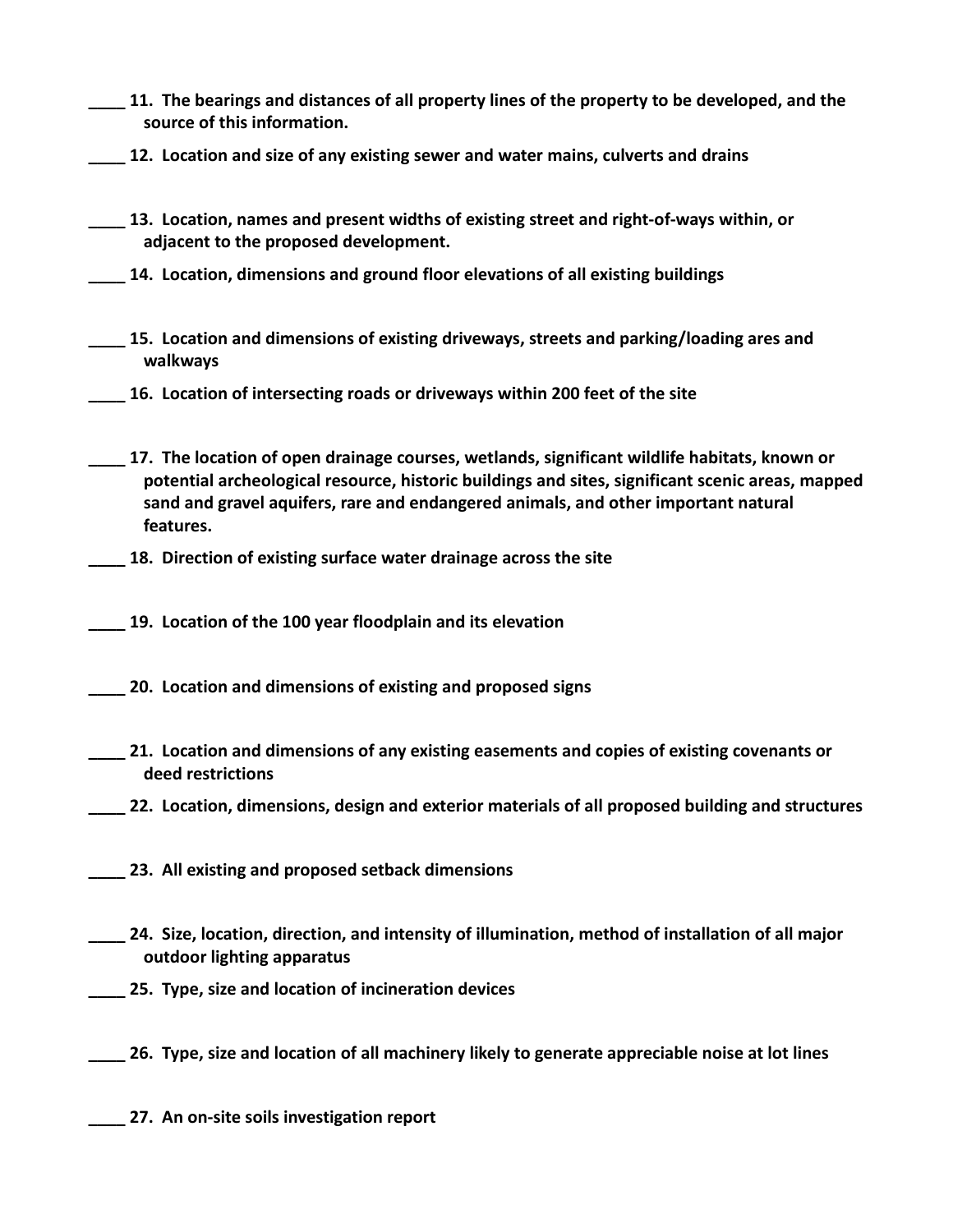- **\_\_\_\_ 11. The bearings and distances of all property lines of the property to be developed, and the source of this information.**
- **\_\_\_\_ 12. Location and size of any existing sewer and water mains, culverts and drains**
- **\_\_\_\_ 13. Location, names and present widths of existing street and right-of-ways within, or adjacent to the proposed development.**
- **\_\_\_\_ 14. Location, dimensions and ground floor elevations of all existing buildings**
- **\_\_\_\_ 15. Location and dimensions of existing driveways, streets and parking/loading ares and walkways**
- **\_\_\_\_ 16. Location of intersecting roads or driveways within 200 feet of the site**
- **\_\_\_\_ 17. The location of open drainage courses, wetlands, significant wildlife habitats, known or potential archeological resource, historic buildings and sites, significant scenic areas, mapped sand and gravel aquifers, rare and endangered animals, and other important natural features.**
	- **\_\_\_\_ 18. Direction of existing surface water drainage across the site**
- **\_\_\_\_ 19. Location of the 100 year floodplain and its elevation**
- **\_\_\_\_ 20. Location and dimensions of existing and proposed signs**
- **\_\_\_\_ 21. Location and dimensions of any existing easements and copies of existing covenants or deed restrictions**
- **\_\_\_\_ 22. Location, dimensions, design and exterior materials of all proposed building and structures**
- **\_\_\_\_ 23. All existing and proposed setback dimensions**
- **\_\_\_\_ 24. Size, location, direction, and intensity of illumination, method of installation of all major outdoor lighting apparatus**
- **\_\_\_\_ 25. Type, size and location of incineration devices**
- **\_\_\_\_ 26. Type, size and location of all machinery likely to generate appreciable noise at lot lines**
- **\_\_\_\_ 27. An on-site soils investigation report**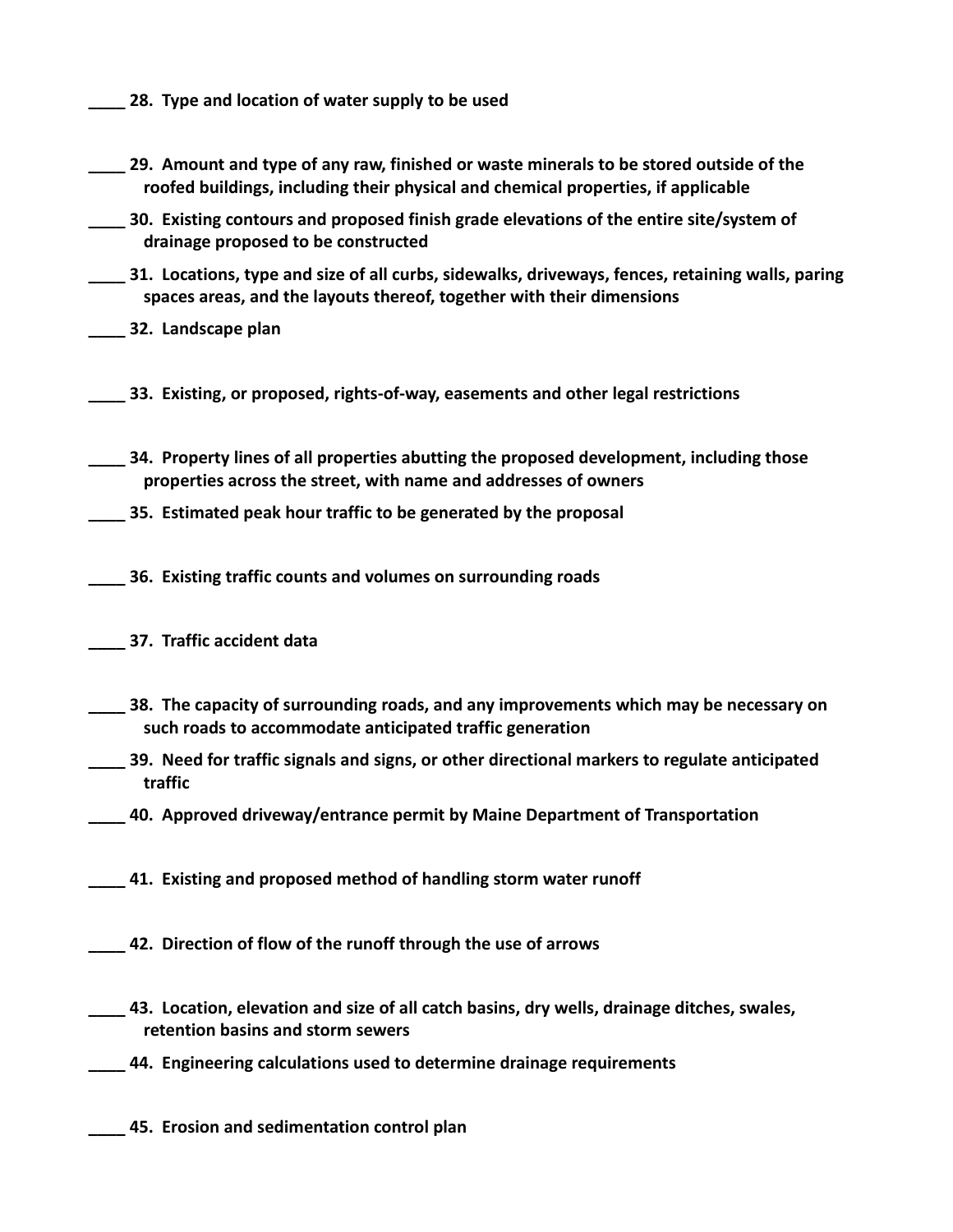- **\_\_\_\_ 28. Type and location of water supply to be used**
- **\_\_\_\_ 29. Amount and type of any raw, finished or waste minerals to be stored outside of the roofed buildings, including their physical and chemical properties, if applicable**
- **\_\_\_\_ 30. Existing contours and proposed finish grade elevations of the entire site/system of drainage proposed to be constructed**
- **\_\_\_\_ 31. Locations, type and size of all curbs, sidewalks, driveways, fences, retaining walls, paring spaces areas, and the layouts thereof, together with their dimensions**
- **\_\_\_\_ 32. Landscape plan**
- **\_\_\_\_ 33. Existing, or proposed, rights-of-way, easements and other legal restrictions**
- **\_\_\_\_ 34. Property lines of all properties abutting the proposed development, including those properties across the street, with name and addresses of owners**
- **\_\_\_\_ 35. Estimated peak hour traffic to be generated by the proposal**
- **\_\_\_\_ 36. Existing traffic counts and volumes on surrounding roads**
- **\_\_\_\_ 37. Traffic accident data**
- **\_\_\_\_ 38. The capacity of surrounding roads, and any improvements which may be necessary on such roads to accommodate anticipated traffic generation**
- **\_\_\_\_ 39. Need for traffic signals and signs, or other directional markers to regulate anticipated traffic**
	- **\_\_\_\_ 40. Approved driveway/entrance permit by Maine Department of Transportation**
- **\_\_\_\_ 41. Existing and proposed method of handling storm water runoff**
- **\_\_\_\_ 42. Direction of flow of the runoff through the use of arrows**
- **\_\_\_\_ 43. Location, elevation and size of all catch basins, dry wells, drainage ditches, swales, retention basins and storm sewers**
- **\_\_\_\_ 44. Engineering calculations used to determine drainage requirements**
- **\_\_\_\_ 45. Erosion and sedimentation control plan**